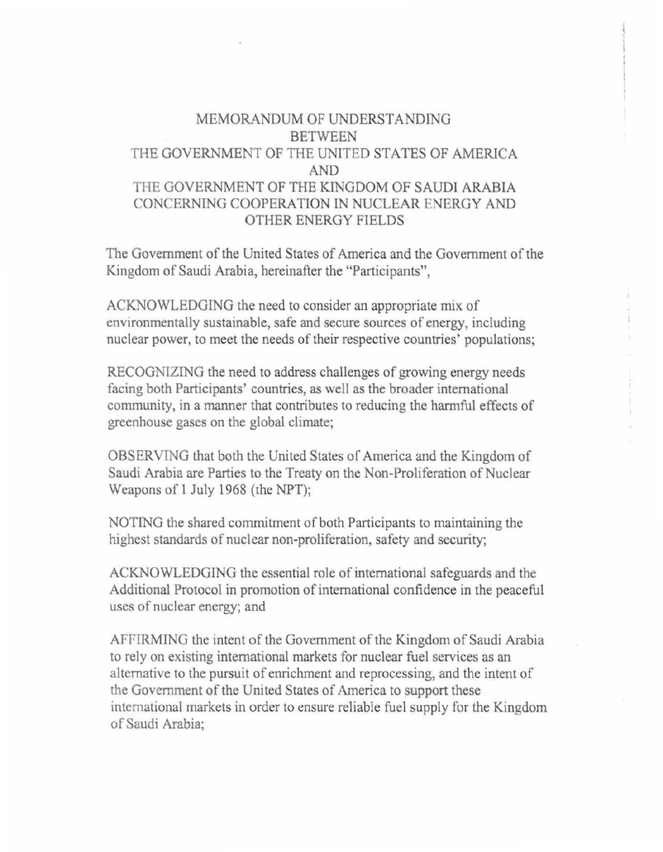## MEMORANDUM OF UNDERSTANDING BETWEEN THE GOVERNMENT OF THE UNlTED STATES OF AMERICA AND THE GOVERNMENT OF THE KINGDOM OF SAUDI ARABIA CONCERNING COOPERATION IN NUCLEAR FNERGY AND OTHER ENERGY FIELDS

The Government of the United States of America and the Government of the Kingdom of Saudi Arabia, hereinafter the "Participants",

ACKNOWLEDGING the need to consider an appropriate mix of environmentally sustainable, safe and secure sources of energy, including nuclear power, to meet the needs of their respective countries' populations;

RECOGNIZING the need to address challenges of growing energy needs facing both Participants' countries, as well as the broader international community, in a manner that contributes to reducing the harmful effects of greenhouse gases on the global climate;

OBSERVING that both the United States of America and the Kingdom of Saudi Arabia are Parties to the Treaty on the Non-Proliferation of Nuclear Weapons of l July 1968 (the NPT);

NOTING the shared commitment of both Participants to maintaining the highest standards of nuclear non-proliferation, safety and security;

ACKNOWLEDGING the essential role of international safeguards and the Additional Protocol in promotion of international confidence in the peaceful uses of nuclear energy; and

AFFIRMING the intent of the Government of the Kingdom of Saudi Arabia to rely on existing international markets for nuclear fuel services as an alternative to the pursuit of enrichment and reprocessing, and the intent of the Government of the United States of America to support these international markets in order to ensure reliable fuel supply for the Kingdom of Saudi Arabia;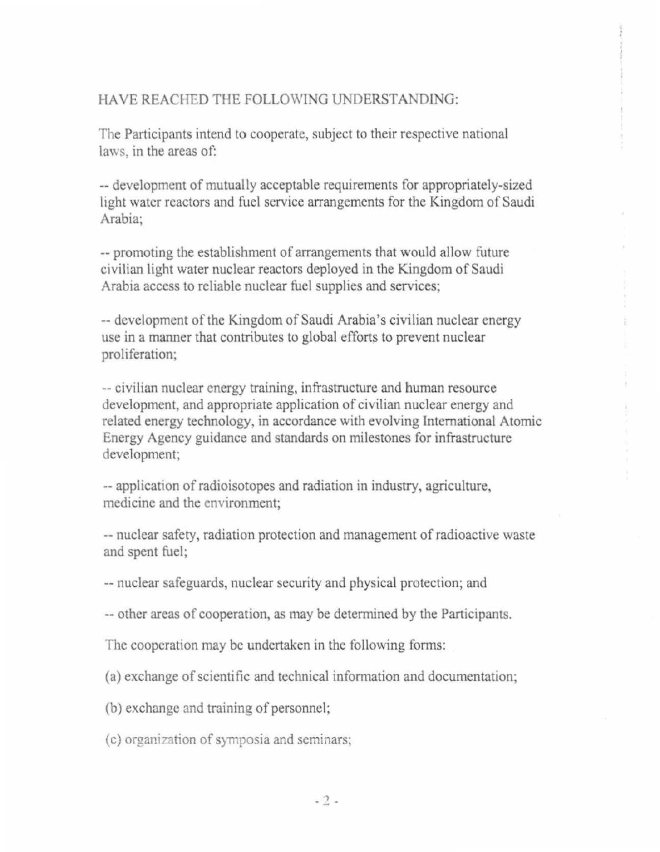## HAVE REACHED THE FOLLOWING UNDERSTANDING:

The Participants intend to cooperate, subject to their respective national laws, in the areas of:

-- development of mutually acceptable requirements for appropriately-sized light water reactors and fuel service arrangements for the Kingdom of Saudi Arabia;

-- promoting the establishment of arrangements that would allow future civilian light water nuclear reactors deployed in the Kingdom of Saudi Arabia access to reliable nuclear fuel supplies and services;

--development of the Kingdom of Saudi Arabia's civilian nuclear energy use in a manner that contributes to global efforts to prevent nuclear proliferation;

--civilian nuclear energy training, infrastructure and human resource development, and appropriate application of civilian nuclear energy and related energy technology, in accordance with evolving International Atomic Energy Agency guidance and standards on milestones for infrastructure development;

--application of radioisotopes and radiation in industry, agriculture, medicine and the environment;

--nuclear safety, radiation protection and management of radioactive waste and spent fuel;

--nuclear safeguards, nuclear security and physical protection; and

--other areas of cooperation, as may be determined by the Participants.

The cooperation may be undertaken in the following forms:

(a) exchange of scientific and technical information and documentation;

(b) exchange and training of personnel;

(c) organization of symposia and seminars;